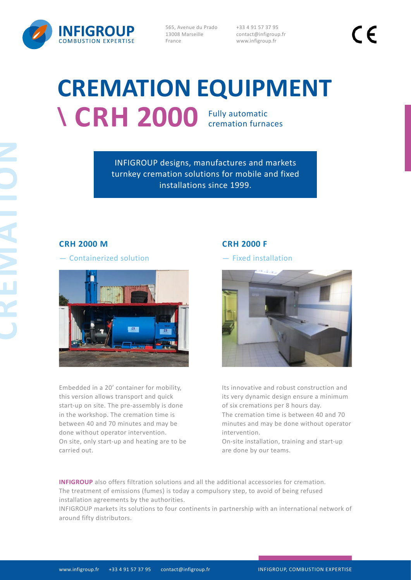

565, Avenue du Prado 13008 Marseille France

+33 4 91 57 37 95 contact@infigroup.fr www.infigroup.fr

# **CREMATION EQUIPMENT \ CRH 2000** Fully automatic cremation furnaces

INFIGROUP designs, manufactures and markets turnkey cremation solutions for mobile and fixed installations since 1999.

# **CRH 2000 M**

- Containerized solution



Embedded in a 20' container for mobility, this version allows transport and quick start-up on site. The pre-assembly is done in the workshop. The cremation time is between 40 and 70 minutes and may be done without operator intervention. On site, only start-up and heating are to be carried out.

## **CRH 2000 F**

- Fixed installation



Its innovative and robust construction and its very dynamic design ensure a minimum of six cremations per 8 hours day. The cremation time is between 40 and 70 minutes and may be done without operator intervention.

On-site installation, training and start-up are done by our teams.

**INFIGROUP** also offers filtration solutions and all the additional accessories for cremation. The treatment of emissions (fumes) is today a compulsory step, to avoid of being refused installation agreements by the authorities.

INFIGROUP markets its solutions to four continents in partnership with an international network of around fifty distributors.